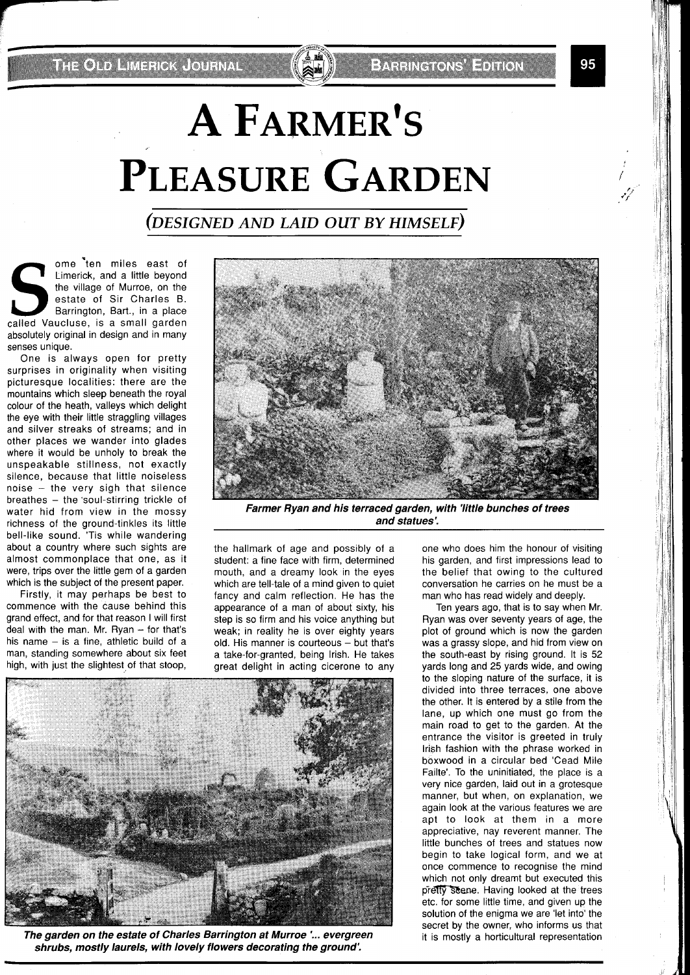THE OTDERWERICK JOURNAL

## **A FARMER'S PLEASURE GARDEN**

## (DESIGNED AND LAID OUT BY HIMSELF)

ome \*ten miles east of Limerick, and a little beyond the village of Murroe, on the estate of Sir Charles B. Barrington, Bart., in a place called Vaucluse, is a small garden absolutely original in design and in many senses unique.

One is always open for pretty surprises in originality when visiting picturesque localities: there are the mountains which sleep beneath the royal colour of the heath, valleys which delight the eye with their little straggling villages and silver streaks of streams; and in other places we wander into glades where it would be unholy to break the unspeakable stillness, not exactly silence, because that little noiseless noise  $-$  the very sigh that silence breathes - the 'soul-stirring trickle of water hid from view in the mossy richness of the ground-tinkles its little bell-like sound. 'Tis while wandering about a country where such sights are almost commonplace that one, as it were, trips over the little gem of a garden which is the subject of the present paper.

Firstly, it may perhaps be best to commence with the cause behind this grand effect, and for that reason I will first deal with the man. Mr. Ryan  $-$  for that's his name  $-$  is a fine, athletic build of a man, standing somewhere about six feet high, with just the slightest of that stoop,

the hallmark of age and possibly of a student: a fine face with firm, determined mouth, and a dreamy look in the eyes which are tell-tale of a mind given to quiet fancy and calm reflection. He has the appearance of a man of about sixty, his step is so firm and his voice anything but weak; in reality he is over eighty years  $old.$  His manner is courteous  $-$  but that's a take-for-granted, being Irish. He takes great delight in acting cicerone to any



**The garden on the estate of Charles Barrington at Murroe** *l...* **evergreen shrubs, mostly laurels, with lovely flowers decorating the ground'.** 

one who does him the honour of visiting his garden, and first impressions lead to the belief that owing to the cultured conversation he carries on he must be a man who has read widely and deeply.

Ten years ago, that is to say when Mr. Ryan was over seventy years of age, the plot of ground which is now the garden was a grassy slope, and hid from view on the south-east by rising ground. It is 52 yards long and 25 yards wide, and owing to the sloping nature of the surface, it is divided into three terraces, one above the other. It is entered by a stile from the lane, up which one must go from the main road to get to the garden. At the entrance the visitor is greeted in truly Irish fashion with the phrase worked in boxwood in a circular bed 'Cead Mile Failte'. To the uninitiated, the place is a very nice garden, laid out in a grotesque manner, but when, on explanation, we again look at the various features we are apt to look at them in a more appreciative, nay reverent manner. The little bunches of trees and statues now begin to take logical form, and we at once commence to recognise the mind which not only dreamt but executed this pretty scene. Having looked at the trees etc. for some little time, and given up the solution of the enigma we are 'let into' the secret by the owner, who informs us that it is mostly a horticultural representation



**EXPRESS THE EDITOR** 

**Farmer Ryan and his terraced garden, with 'little bunches of trees and statues'.**